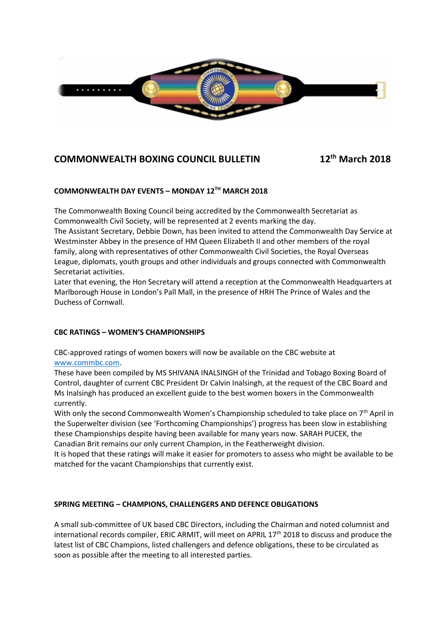

# **COMMONWEALTH BOXING COUNCIL BULLETIN 12**

**th March 2018**

# **COMMONWEALTH DAY EVENTS – MONDAY 12 TH MARCH 2018**

The Commonwealth Boxing Council being accredited by the Commonwealth Secretariat as Commonwealth Civil Society, will be represented at 2 events marking the day.

The Assistant Secretary, Debbie Down, has been invited to attend the Commonwealth Day Service at Westminster Abbey in the presence of HM Queen Elizabeth II and other members of the royal family, along with representatives of other Commonwealth Civil Societies, the Royal Overseas League, diplomats, youth groups and other individuals and groups connected with Commonwealth Secretariat activities.

Later that evening, the Hon Secretary will attend a reception at the Commonwealth Headquarters at Marlborough House in London's Pall Mall, in the presence of HRH The Prince of Wales and the Duchess of Cornwall.

## **CBC RATINGS – WOMEN'S CHAMPIONSHIPS**

CBC-approved ratings of women boxers will now be available on the CBC website at [www.commbc.com.](http://www.commbc.com/)

These have been compiled by MS SHIVANA INALSINGH of the Trinidad and Tobago Boxing Board of Control, daughter of current CBC President Dr Calvin Inalsingh, at the request of the CBC Board and Ms Inalsingh has produced an excellent guide to the best women boxers in the Commonwealth currently.

With only the second Commonwealth Women's Championship scheduled to take place on  $7<sup>th</sup>$  April in the Superwelter division (see 'Forthcoming Championships') progress has been slow in establishing these Championships despite having been available for many years now. SARAH PUCEK, the Canadian Brit remains our only current Champion, in the Featherweight division.

It is hoped that these ratings will make it easier for promoters to assess who might be available to be matched for the vacant Championships that currently exist.

## **SPRING MEETING – CHAMPIONS, CHALLENGERS AND DEFENCE OBLIGATIONS**

A small sub-committee of UK based CBC Directors, including the Chairman and noted columnist and international records compiler, ERIC ARMIT, will meet on APRIL  $17<sup>th</sup>$  2018 to discuss and produce the latest list of CBC Champions, listed challengers and defence obligations, these to be circulated as soon as possible after the meeting to all interested parties.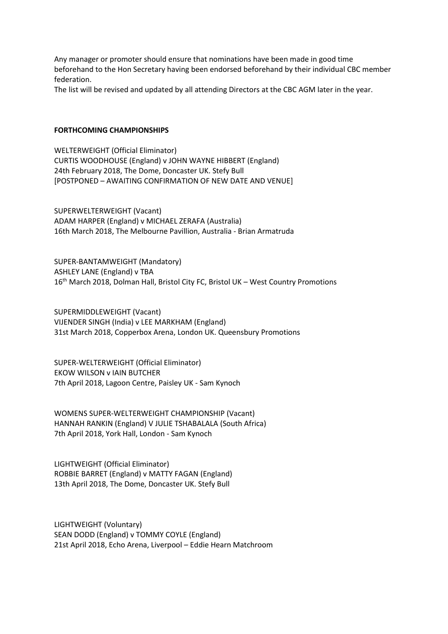Any manager or promoter should ensure that nominations have been made in good time beforehand to the Hon Secretary having been endorsed beforehand by their individual CBC member federation.

The list will be revised and updated by all attending Directors at the CBC AGM later in the year.

#### **FORTHCOMING CHAMPIONSHIPS**

WELTERWEIGHT (Official Eliminator) CURTIS WOODHOUSE (England) v JOHN WAYNE HIBBERT (England) 24th February 2018, The Dome, Doncaster UK. Stefy Bull [POSTPONED – AWAITING CONFIRMATION OF NEW DATE AND VENUE]

SUPERWELTERWEIGHT (Vacant) ADAM HARPER (England) v MICHAEL ZERAFA (Australia) 16th March 2018, The Melbourne Pavillion, Australia - Brian Armatruda

SUPER-BANTAMWEIGHT (Mandatory) ASHLEY LANE (England) v TBA 16<sup>th</sup> March 2018, Dolman Hall, Bristol City FC, Bristol UK – West Country Promotions

SUPERMIDDLEWEIGHT (Vacant) VIJENDER SINGH (India) v LEE MARKHAM (England) 31st March 2018, Copperbox Arena, London UK. Queensbury Promotions

SUPER-WELTERWEIGHT (Official Eliminator) EKOW WILSON v IAIN BUTCHER 7th April 2018, Lagoon Centre, Paisley UK - Sam Kynoch

WOMENS SUPER-WELTERWEIGHT CHAMPIONSHIP (Vacant) HANNAH RANKIN (England) V JULIE TSHABALALA (South Africa) 7th April 2018, York Hall, London - Sam Kynoch

LIGHTWEIGHT (Official Eliminator) ROBBIE BARRET (England) v MATTY FAGAN (England) 13th April 2018, The Dome, Doncaster UK. Stefy Bull

LIGHTWEIGHT (Voluntary) SEAN DODD (England) v TOMMY COYLE (England) 21st April 2018, Echo Arena, Liverpool – Eddie Hearn Matchroom